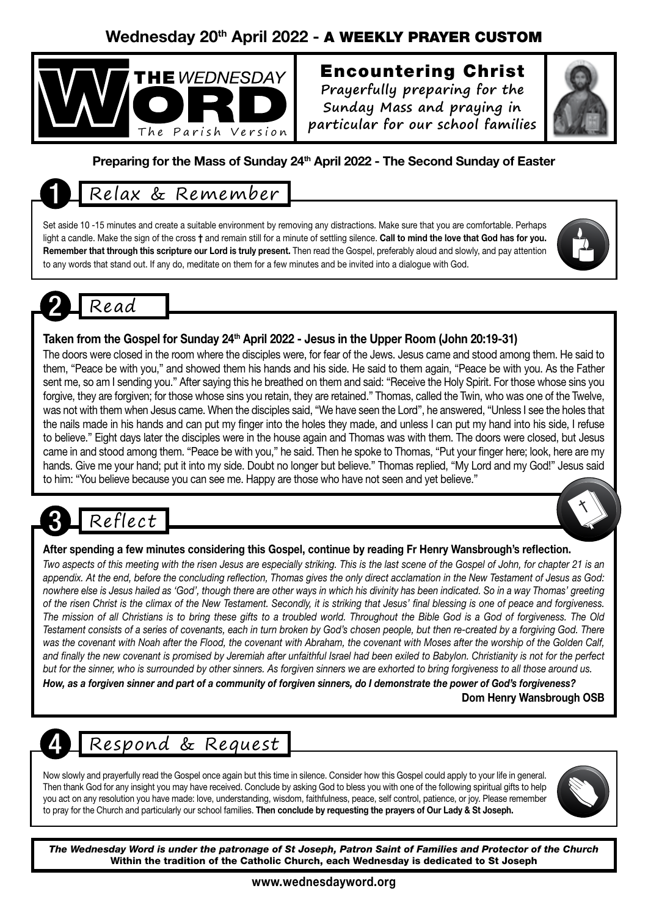### Wednesday 20<sup>th</sup> April 2022 - A WEEKLY PRAYER CUSTOM



# Encountering Christ

**Prayerfully preparing for the Sunday Mass and praying in particular for our school families**



### Preparing for the Mass of Sunday 24<sup>th</sup> April 2022 - The Second Sunday of Easter

# 1 Relax & Remember

Set aside 10 -15 minutes and create a suitable environment by removing any distractions. Make sure that you are comfortable. Perhaps light a candle. Make the sign of the cross † and remain still for a minute of settling silence. Call to mind the love that God has for you. Remember that through this scripture our Lord is truly present. Then read the Gospel, preferably aloud and slowly, and pay attention to any words that stand out. If any do, meditate on them for a few minutes and be invited into a dialogue with God.



#### Taken from the Gospel for Sunday 24<sup>th</sup> April 2022 - Jesus in the Upper Room (John 20:19-31)

The doors were closed in the room where the disciples were, for fear of the Jews. Jesus came and stood among them. He said to them, "Peace be with you," and showed them his hands and his side. He said to them again, "Peace be with you. As the Father sent me, so am I sending you." After saying this he breathed on them and said: "Receive the Holy Spirit. For those whose sins you forgive, they are forgiven; for those whose sins you retain, they are retained." Thomas, called the Twin, who was one of the Twelve, was not with them when Jesus came. When the disciples said, "We have seen the Lord", he answered, "Unless I see the holes that the nails made in his hands and can put my finger into the holes they made, and unless I can put my hand into his side, I refuse to believe." Eight days later the disciples were in the house again and Thomas was with them. The doors were closed, but Jesus came in and stood among them. "Peace be with you," he said. Then he spoke to Thomas, "Put your finger here; look, here are my hands. Give me your hand; put it into my side. Doubt no longer but believe." Thomas replied, "My Lord and my God!" Jesus said to him: "You believe because you can see me. Happy are those who have not seen and yet believe."

# Reflect

#### After spending a few minutes considering this Gospel, continue by reading Fr Henry Wansbrough's reflection.

*Two aspects of this meeting with the risen Jesus are especially striking. This is the last scene of the Gospel of John, for chapter 21 is an appendix. At the end, before the concluding reflection, Thomas gives the only direct acclamation in the New Testament of Jesus as God: nowhere else is Jesus hailed as 'God', though there are other ways in which his divinity has been indicated. So in a way Thomas' greeting of the risen Christ is the climax of the New Testament. Secondly, it is striking that Jesus' final blessing is one of peace and forgiveness. The mission of all Christians is to bring these gifts to a troubled world. Throughout the Bible God is a God of forgiveness. The Old Testament consists of a series of covenants, each in turn broken by God's chosen people, but then re-created by a forgiving God. There was the covenant with Noah after the Flood, the covenant with Abraham, the covenant with Moses after the worship of the Golden Calf, and finally the new covenant is promised by Jeremiah after unfaithful Israel had been exiled to Babylon. Christianity is not for the perfect but for the sinner, who is surrounded by other sinners. As forgiven sinners we are exhorted to bring forgiveness to all those around us.*

*How, as a forgiven sinner and part of a community of forgiven sinners, do I demonstrate the power of God's forgiveness?* Dom Henry Wansbrough OSB

# Respond & Request

Now slowly and prayerfully read the Gospel once again but this time in silence. Consider how this Gospel could apply to your life in general. Then thank God for any insight you may have received. Conclude by asking God to bless you with one of the following spiritual gifts to help you act on any resolution you have made: love, understanding, wisdom, faithfulness, peace, self control, patience, or joy. Please remember to pray for the Church and particularly our school families. Then conclude by requesting the prayers of Our Lady & St Joseph.



*The Wednesday Word is under the patronage of St Joseph, Patron Saint of Families and Protector of the Church* Within the tradition of the Catholic Church, each Wednesday is dedicated to St Joseph